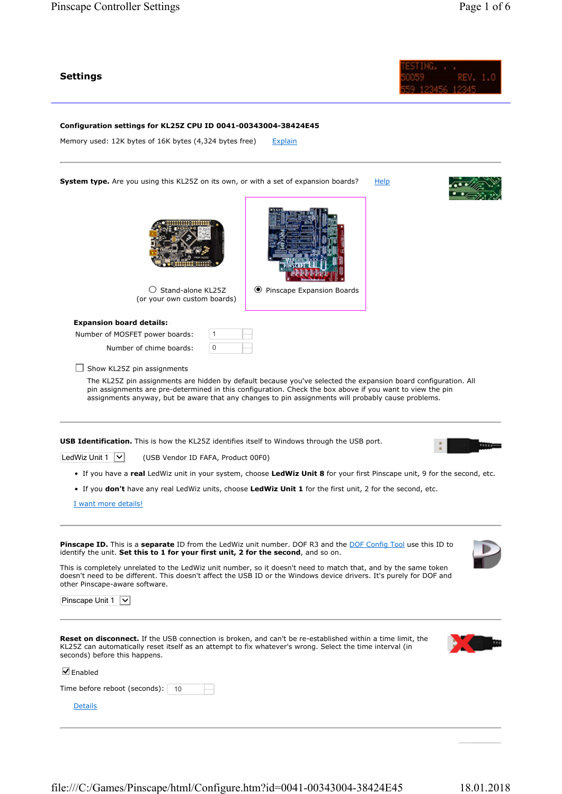## Settings



Configuration settings for KL25Z CPU ID 0041-00343004-38424E45

Memory used: 12K bytes of 16K bytes (4,324 bytes free) Explain

System type. Are you using this KL25Z on its own, or with a set of expansion boards? Help



 $\bigcirc$  Stand-alone KL25Z (or your own custom boards)

Expansion board details:

Number of MOSFET power boards:

Number of chime boards:

 $\Box$  Show KL25Z pin assignments

The KL25Z pin assignments are hidden by default because you've selected the expansion board configuration. All pin assignments are pre-determined in this configuration. Check the box above if you want to view the pin assignments anyway, but be aware that any changes to pin assignments will probably cause problems.

Pinscape Expansion Boards

**USB Identification.** This is how the KL25Z identifies itself to Windows through the USB port.

1  $\overline{0}$ 



LedWiz Unit  $1 \nightharpoonup$  (USB Vendor ID FAFA, Product 00F0)

- If you have a real LedWiz unit in your system, choose LedWiz Unit 8 for your first Pinscape unit, 9 for the second, etc.
- If you don't have any real LedWiz units, choose LedWiz Unit 1 for the first unit, 2 for the second, etc.

I want more details!

Pinscape ID. This is a separate ID from the LedWiz unit number. DOF R3 and the DOF Config Tool use this ID to identify the unit. Set this to 1 for your first unit, 2 for the second, and so on.

This is completely unrelated to the LedWiz unit number, so it doesn't need to match that, and by the same token doesn't need to be different. This doesn't affect the USB ID or the Windows device drivers. It's purely for DOF and other Pinscape-aware software.

| Pinscape Unit 1<br>$\checkmark$                                                                                                                                                                                                                                |  |
|----------------------------------------------------------------------------------------------------------------------------------------------------------------------------------------------------------------------------------------------------------------|--|
| <b>Reset on disconnect.</b> If the USB connection is broken, and can't be re-established within a time limit, the<br>KL25Z can automatically reset itself as an attempt to fix whatever's wrong. Select the time interval (in<br>seconds) before this happens. |  |
| $\blacksquare$ Enabled                                                                                                                                                                                                                                         |  |
| Time before reboot (seconds):   10                                                                                                                                                                                                                             |  |
| Details                                                                                                                                                                                                                                                        |  |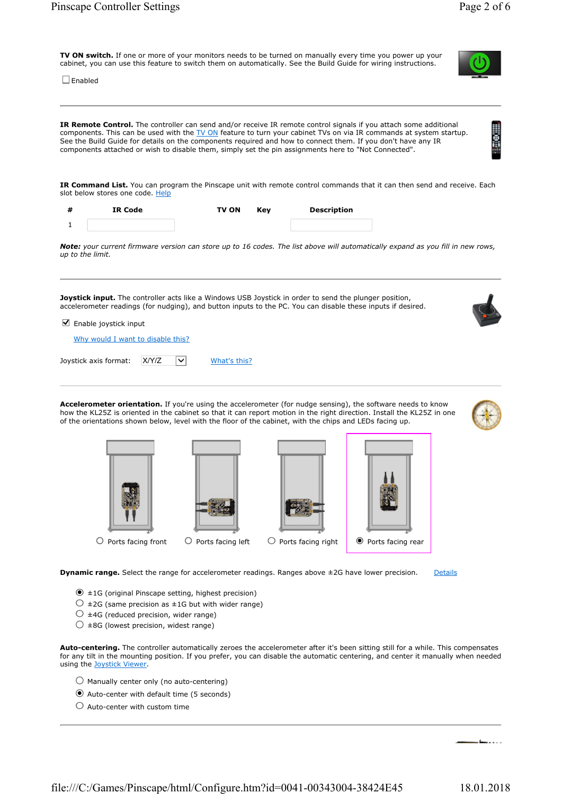TV ON switch. If one or more of your monitors needs to be turned on manually every time you power up your cabinet, you can use this feature to switch them on automatically. See the Build Guide for wiring instructions.

 $\square$  Enabled

IR Remote Control. The controller can send and/or receive IR remote control signals if you attach some additional components. This can be used with the TV ON feature to turn your cabinet TVs on via IR commands at system startup. See the Build Guide for details on the components required and how to connect them. If you don't have any IR components attached or wish to disable them, simply set the pin assignments here to "Not Connected".

IR Command List. You can program the Pinscape unit with remote control commands that it can then send and receive. Each slot below stores one code. Help

| IR Code | <b>TV ON</b> | Kev | <b>Description</b> |
|---------|--------------|-----|--------------------|
|         |              |     |                    |

Note: your current firmware version can store up to 16 codes. The list above will automatically expand as you fill in new rows, up to the limit.

Joystick input. The controller acts like a Windows USB Joystick in order to send the plunger position, accelerometer readings (for nudging), and button inputs to the PC. You can disable these inputs if desired.

 $\blacksquare$  Enable joystick input

Why would I want to disable this?

Joystick axis format:  $XY/Z$   $\boxed{\vee}$  What's this?

Accelerometer orientation. If you're using the accelerometer (for nudge sensing), the software needs to know how the KL25Z is oriented in the cabinet so that it can report motion in the right direction. Install the KL25Z in one of the orientations shown below, level with the floor of the cabinet, with the chips and LEDs facing up.

 $\overline{O}$  Ports facing front  $\overline{O}$  Ports facing left  $\overline{O}$  Ports facing right  $\overline{P}$  Ports facing rear

**Dynamic range.** Select the range for accelerometer readings. Ranges above  $\pm 2G$  have lower precision. Details

- ±1G (original Pinscape setting, highest precision)
- $\circlearrowright$  ±2G (same precision as ±1G but with wider range)
- $\circlearrowright$  ±4G (reduced precision, wider range)
- $\bigcirc$  ±8G (lowest precision, widest range)

Auto-centering. The controller automatically zeroes the accelerometer after it's been sitting still for a while. This compensates for any tilt in the mounting position. If you prefer, you can disable the automatic centering, and center it manually when needed using the Joystick Viewer.

- $\bigcirc$  Manually center only (no auto-centering)
- Auto-center with default time (5 seconds)
- $\bigcirc$  Auto-center with custom time







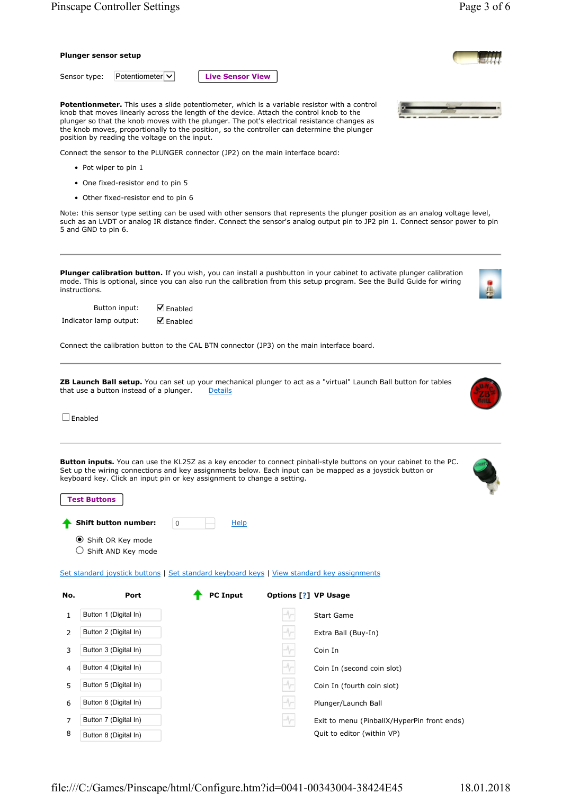|                        | <b>Pinscape Controller Settings</b>                  |                                                                                                                                                                                                                                                                                                                                                                                        |                                                                                                                                                                                                                                       | Page 3 of 6                                                                                                                                                                                                                                                      |
|------------------------|------------------------------------------------------|----------------------------------------------------------------------------------------------------------------------------------------------------------------------------------------------------------------------------------------------------------------------------------------------------------------------------------------------------------------------------------------|---------------------------------------------------------------------------------------------------------------------------------------------------------------------------------------------------------------------------------------|------------------------------------------------------------------------------------------------------------------------------------------------------------------------------------------------------------------------------------------------------------------|
| Plunger sensor setup   |                                                      |                                                                                                                                                                                                                                                                                                                                                                                        |                                                                                                                                                                                                                                       |                                                                                                                                                                                                                                                                  |
| Sensor type:           | Potentiometer $\vee$                                 | <b>Live Sensor View</b>                                                                                                                                                                                                                                                                                                                                                                |                                                                                                                                                                                                                                       |                                                                                                                                                                                                                                                                  |
|                        | position by reading the voltage on the input.        | Potentionmeter. This uses a slide potentiometer, which is a variable resistor with a control<br>knob that moves linearly across the length of the device. Attach the control knob to the<br>plunger so that the knob moves with the plunger. The pot's electrical resistance changes as<br>the knob moves, proportionally to the position, so the controller can determine the plunger |                                                                                                                                                                                                                                       |                                                                                                                                                                                                                                                                  |
|                        |                                                      | Connect the sensor to the PLUNGER connector (JP2) on the main interface board:                                                                                                                                                                                                                                                                                                         |                                                                                                                                                                                                                                       |                                                                                                                                                                                                                                                                  |
| • Pot wiper to pin 1   |                                                      |                                                                                                                                                                                                                                                                                                                                                                                        |                                                                                                                                                                                                                                       |                                                                                                                                                                                                                                                                  |
|                        | • One fixed-resistor end to pin 5                    |                                                                                                                                                                                                                                                                                                                                                                                        |                                                                                                                                                                                                                                       |                                                                                                                                                                                                                                                                  |
|                        | • Other fixed-resistor end to pin 6                  |                                                                                                                                                                                                                                                                                                                                                                                        |                                                                                                                                                                                                                                       |                                                                                                                                                                                                                                                                  |
| 5 and GND to pin 6.    |                                                      |                                                                                                                                                                                                                                                                                                                                                                                        |                                                                                                                                                                                                                                       | Note: this sensor type setting can be used with other sensors that represents the plunger position as an analog voltage level,<br>such as an LVDT or analog IR distance finder. Connect the sensor's analog output pin to JP2 pin 1. Connect sensor power to pin |
| instructions.          | $\nabla$ Enabled<br>Button input:<br>$\n  l$ Enabled |                                                                                                                                                                                                                                                                                                                                                                                        |                                                                                                                                                                                                                                       |                                                                                                                                                                                                                                                                  |
| Indicator lamp output: |                                                      |                                                                                                                                                                                                                                                                                                                                                                                        |                                                                                                                                                                                                                                       |                                                                                                                                                                                                                                                                  |
|                        |                                                      | Connect the calibration button to the CAL BTN connector (JP3) on the main interface board.                                                                                                                                                                                                                                                                                             |                                                                                                                                                                                                                                       |                                                                                                                                                                                                                                                                  |
|                        | that use a button instead of a plunger.              | <b>Details</b>                                                                                                                                                                                                                                                                                                                                                                         | ZB Launch Ball setup. You can set up your mechanical plunger to act as a "virtual" Launch Ball button for tables                                                                                                                      |                                                                                                                                                                                                                                                                  |
| Enabled                |                                                      |                                                                                                                                                                                                                                                                                                                                                                                        |                                                                                                                                                                                                                                       |                                                                                                                                                                                                                                                                  |
| <b>Test Buttons</b>    |                                                      | keyboard key. Click an input pin or key assignment to change a setting.                                                                                                                                                                                                                                                                                                                | <b>Button inputs.</b> You can use the KL25Z as a key encoder to connect pinball-style buttons on your cabinet to the PC.<br>Set up the wiring connections and key assignments below. Each input can be mapped as a joystick button or |                                                                                                                                                                                                                                                                  |
|                        | <b>Shift button number:</b><br>0                     | <b>Help</b>                                                                                                                                                                                                                                                                                                                                                                            |                                                                                                                                                                                                                                       |                                                                                                                                                                                                                                                                  |
|                        | Shift OR Key mode                                    |                                                                                                                                                                                                                                                                                                                                                                                        |                                                                                                                                                                                                                                       |                                                                                                                                                                                                                                                                  |

 $\bigcirc$  Shift AND Key mode

Set standard joystick buttons | Set standard keyboard keys | View standard key assignments

| No. | Port                  | <b>PC Input</b> | Options [2] VP Usage            |                                             |
|-----|-----------------------|-----------------|---------------------------------|---------------------------------------------|
| 1   | Button 1 (Digital In) |                 | $H\setminus T$                  | <b>Start Game</b>                           |
| 2   | Button 2 (Digital In) |                 | $-\sqrt{-}$                     | Extra Ball (Buy-In)                         |
| 3   | Button 3 (Digital In) |                 | $\rightarrow$                   | Coin In                                     |
| 4   | Button 4 (Digital In) |                 | $H^{\prime}$                    | Coin In (second coin slot)                  |
| 5   | Button 5 (Digital In) |                 | $\mathbb{L}\setminus\mathbb{L}$ | Coin In (fourth coin slot)                  |
| 6   | Button 6 (Digital In) |                 | $-\sqrt{-}$                     | Plunger/Launch Ball                         |
| 7   | Button 7 (Digital In) |                 | $-\sqrt{-}$                     | Exit to menu (PinballX/HyperPin front ends) |
| 8   | Button 8 (Digital In) |                 |                                 | Quit to editor (within VP)                  |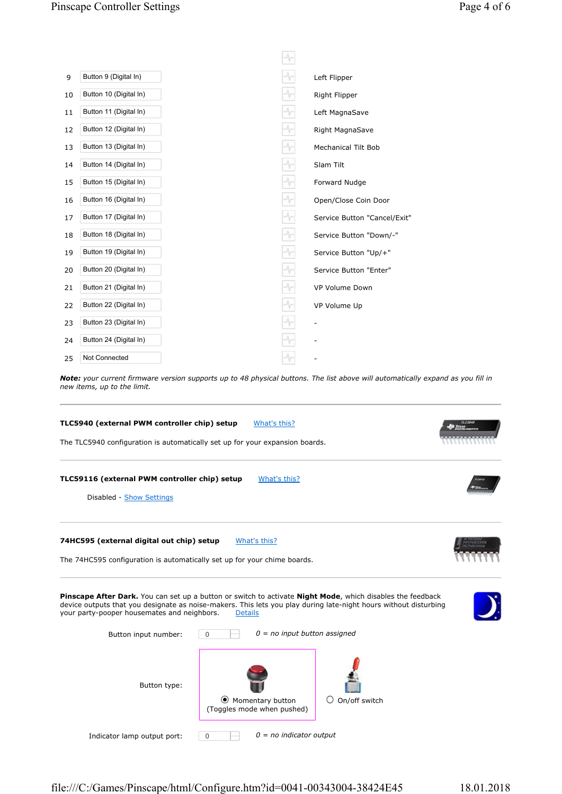| 9  | Button 9 (Digital In)  |        | Left Flipper                 |
|----|------------------------|--------|------------------------------|
| 10 | Button 10 (Digital In) |        | Right Flipper                |
| 11 | Button 11 (Digital In) |        | Left MagnaSave               |
| 12 | Button 12 (Digital In) |        | Right MagnaSave              |
| 13 | Button 13 (Digital In) |        | <b>Mechanical Tilt Bob</b>   |
| 14 | Button 14 (Digital In) |        | Slam Tilt                    |
| 15 | Button 15 (Digital In) | $\sim$ | Forward Nudge                |
| 16 | Button 16 (Digital In) |        | Open/Close Coin Door         |
| 17 | Button 17 (Digital In) |        | Service Button "Cancel/Exit" |
| 18 | Button 18 (Digital In) |        | Service Button "Down/-"      |
| 19 | Button 19 (Digital In) |        | Service Button "Up/+"        |
| 20 | Button 20 (Digital In) |        | Service Button "Enter"       |
| 21 | Button 21 (Digital In) | $\sim$ | VP Volume Down               |
| 22 | Button 22 (Digital In) |        | VP Volume Up                 |
| 23 | Button 23 (Digital In) |        |                              |
| 24 | Button 24 (Digital In) |        |                              |
| 25 | Not Connected          |        |                              |

Note: your current firmware version supports up to 48 physical buttons. The list above will automatically expand as you fill in new items, up to the limit.



Indicator lamp output port:  $\boxed{0}$   $\boxed{0}$  = no indicator output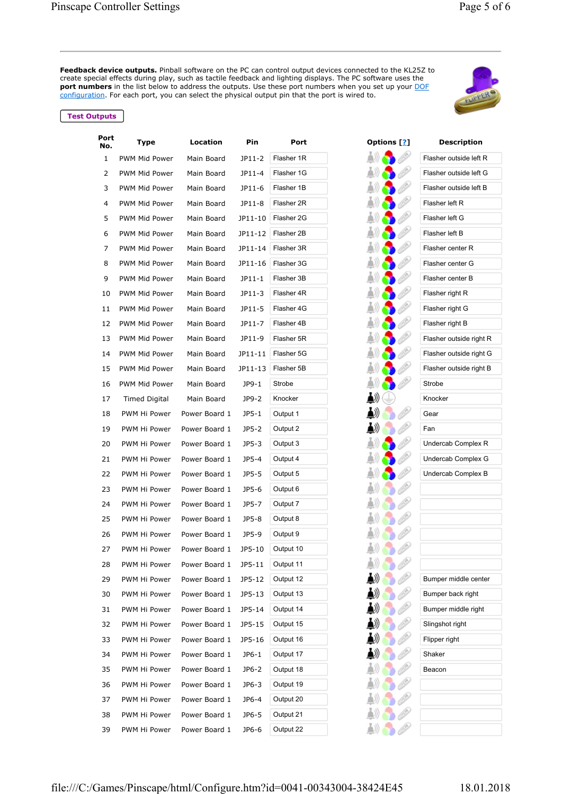**Feedback device outputs.** Pinball software on the PC can control output devices connected to the KL25Z to create special effects during play, such as tactile feedback and lighting displays. The PC software uses the port numbers in the list below to address the outputs. Use these port numbers when you set up your DOF configuration. For each port, you can select the physical output pin that the port is wired to.



| Port<br>No. | Type          | Location      | Pin     | Port          | Options [ <u>?</u> ] | <b>Description</b>      |
|-------------|---------------|---------------|---------|---------------|----------------------|-------------------------|
| 1           | PWM Mid Power | Main Board    | JP11-2  | Flasher 1R    |                      | Flasher outside left R  |
| 2           | PWM Mid Power | Main Board    | JP11-4  | Flasher 1G    |                      | Flasher outside left G  |
| 3           | PWM Mid Power | Main Board    | JP11-6  | Flasher 1B    |                      | Flasher outside left B  |
| 4           | PWM Mid Power | Main Board    | JP11-8  | Flasher 2R    |                      | Flasher left R          |
| 5           | PWM Mid Power | Main Board    | JP11-10 | Flasher 2G    |                      | Flasher left G          |
| 6           | PWM Mid Power | Main Board    | JP11-12 | Flasher 2B    |                      | Flasher left B          |
| 7           | PWM Mid Power | Main Board    | JP11-14 | Flasher 3R    |                      | Flasher center R        |
| 8           | PWM Mid Power | Main Board    | JP11-16 | Flasher 3G    |                      | Flasher center G        |
| 9           | PWM Mid Power | Main Board    | JP11-1  | Flasher 3B    |                      | Flasher center B        |
| 10          | PWM Mid Power | Main Board    | JP11-3  | Flasher 4R    |                      | Flasher right R         |
| 11          | PWM Mid Power | Main Board    | JP11-5  | Flasher 4G    |                      | Flasher right G         |
| 12          | PWM Mid Power | Main Board    | JP11-7  | Flasher 4B    |                      | Flasher right B         |
| 13          | PWM Mid Power | Main Board    | JP11-9  | Flasher 5R    |                      | Flasher outside right R |
| 14          | PWM Mid Power | Main Board    | JP11-11 | Flasher 5G    |                      | Flasher outside right G |
| 15          | PWM Mid Power | Main Board    | JP11-13 | Flasher 5B    |                      | Flasher outside right B |
| 16          | PWM Mid Power | Main Board    | JP9-1   | <b>Strobe</b> |                      | Strobe                  |
| 17          | Timed Digital | Main Board    | JP9-2   | Knocker       |                      | Knocker                 |
| 18          | PWM Hi Power  | Power Board 1 | $JP5-1$ | Output 1      |                      | Gear                    |
| 19          | PWM Hi Power  | Power Board 1 | JP5-2   | Output 2      |                      | Fan                     |
| 20          | PWM Hi Power  | Power Board 1 | $JP5-3$ | Output 3      |                      | Undercab Complex R      |
| 21          | PWM Hi Power  | Power Board 1 | JP5-4   | Output 4      |                      | Undercab Complex G      |
| 22          | PWM Hi Power  | Power Board 1 | JP5-5   | Output 5      |                      | Undercab Complex B      |
| 23          | PWM Hi Power  | Power Board 1 | JP5-6   | Output 6      |                      |                         |
| 24          | PWM Hi Power  | Power Board 1 | JP5-7   | Output 7      |                      |                         |
| 25          | PWM Hi Power  | Power Board 1 | JP5-8   | Output 8      |                      |                         |
| 26          | PWM Hi Power  | Power Board 1 | JP5-9   | Output 9      |                      |                         |
| 27          | PWM Hi Power  | Power Board 1 | JP5-10  | Output 10     |                      |                         |
| 28          | PWM Hi Power  | Power Board 1 | JP5-11  | Output 11     |                      |                         |
| 29          | PWM Hi Power  | Power Board 1 | JP5-12  | Output 12     |                      | Bumper middle center    |
| 30          | PWM Hi Power  | Power Board 1 | JP5-13  | Output 13     |                      | Bumper back right       |
| 31          | PWM Hi Power  | Power Board 1 | JP5-14  | Output 14     |                      | Bumper middle right     |
| 32          | PWM Hi Power  | Power Board 1 | JP5-15  | Output 15     |                      | Slingshot right         |
| 33          | PWM Hi Power  | Power Board 1 | JP5-16  | Output 16     |                      | Flipper right           |
| 34          | PWM Hi Power  | Power Board 1 | JP6-1   | Output 17     |                      | Shaker                  |
| 35          | PWM Hi Power  | Power Board 1 | $JP6-2$ | Output 18     |                      | Beacon                  |
| 36          | PWM Hi Power  | Power Board 1 | JP6-3   | Output 19     |                      |                         |
| 37          | PWM Hi Power  | Power Board 1 | JP6-4   | Output 20     |                      |                         |
| 38          | PWM Hi Power  | Power Board 1 | JP6-5   | Output 21     |                      |                         |
| 39          | PWM Hi Power  | Power Board 1 | JP6-6   | Output 22     |                      |                         |

|      | Options [2] |                                                                                                                                                                                                                                 |  |
|------|-------------|---------------------------------------------------------------------------------------------------------------------------------------------------------------------------------------------------------------------------------|--|
| AD)) |             |                                                                                                                                                                                                                                 |  |
| ▲∭   |             |                                                                                                                                                                                                                                 |  |
| ▲))  |             |                                                                                                                                                                                                                                 |  |
| ((全  |             |                                                                                                                                                                                                                                 |  |
| ▲∭   |             |                                                                                                                                                                                                                                 |  |
| AO)  |             | CANGO COM                                                                                                                                                                                                                       |  |
| ▲》)  |             | <b>CONTROL</b>                                                                                                                                                                                                                  |  |
| ▲》)  |             | Change Co                                                                                                                                                                                                                       |  |
| ((点  |             | CARSON RE                                                                                                                                                                                                                       |  |
| ▲》)  |             | <b>CEO</b>                                                                                                                                                                                                                      |  |
| ▲》)  |             | <b>Composite</b>                                                                                                                                                                                                                |  |
| ((点  |             | CANGS C                                                                                                                                                                                                                         |  |
| ▲》)  |             | <b>CONTROL</b>                                                                                                                                                                                                                  |  |
| ▲》)  |             | <b>Corporation</b>                                                                                                                                                                                                              |  |
| ((点  |             | Change Co                                                                                                                                                                                                                       |  |
| A))  |             | C.C.C.                                                                                                                                                                                                                          |  |
| (ن≜  |             |                                                                                                                                                                                                                                 |  |
| ▲》   |             | e Corporation Corporation Corporation Corporation Corporation Corporation Corporation Corporation Corporation Corporation Corporation Corporation Corporation Corporation Corporation Corporation Corporation Corporation Corp  |  |
| ▲》   | b           | CER                                                                                                                                                                                                                             |  |
| ▲》)  |             |                                                                                                                                                                                                                                 |  |
| ▲》)  |             |                                                                                                                                                                                                                                 |  |
| ▲》)  |             | D                                                                                                                                                                                                                               |  |
| ▲》)  |             | e Corporation Corporation Corporation Corporation Corporation Corporation Corporation Corporation Corporation Corporation Corporation Corporation Corporation Corporation Corporation Corporation Corporation Corporation Corp  |  |
| ▲》)  |             | P                                                                                                                                                                                                                               |  |
| A))  | Ð           | e Corporation Corporation Corporation Corporation Corporation Corporation Corporation Corporation Corporation<br>Corporation Corporation Corporation Corporation Corporation Corporation Corporation Corporation Corporation Co |  |
| ▲》)  |             | B                                                                                                                                                                                                                               |  |
| ▲》   | b           | (d.)                                                                                                                                                                                                                            |  |
| b))  | ć<br>b      | (la)                                                                                                                                                                                                                            |  |
|      | $\clubsuit$ | <b>Company</b>                                                                                                                                                                                                                  |  |
| ▲    |             | <b>CONTRACTOR</b>                                                                                                                                                                                                               |  |
| ♪    | b           | (iliya)<br>C                                                                                                                                                                                                                    |  |
| ▲    | ۵           | <b>CONTROL</b>                                                                                                                                                                                                                  |  |
| ▲    | b           | <b>CONTROL</b>                                                                                                                                                                                                                  |  |
| ▲    | b           | (ida)<br>C                                                                                                                                                                                                                      |  |
| AI)  | ć<br>b      | (i.e.)                                                                                                                                                                                                                          |  |
| A))  | Ġ.          | (la)                                                                                                                                                                                                                            |  |
| A))  | ۵           | (i.e.)<br>C                                                                                                                                                                                                                     |  |
| 勐    | $\bullet$   | (ili)                                                                                                                                                                                                                           |  |
| A))  | <b>OB</b>   |                                                                                                                                                                                                                                 |  |

| vescriptio              |
|-------------------------|
| Flasher outside left R  |
| Flasher outside left G  |
| Flasher outside left B  |
| Flasher left R          |
| Flasher left G          |
| Flasher left B          |
| Flasher center R        |
| Flasher center G        |
| Flasher center B        |
| Flasher right R         |
| Flasher right G         |
| Flasher right B         |
| Flasher outside right R |
| Flasher outside right G |
| Flasher outside right B |
| Strobe                  |
| Knocker                 |
| Gear                    |
| Fan                     |
| Undercab Complex R      |
| Undercab Complex G      |
| Undercab Complex B      |
|                         |
|                         |
|                         |
|                         |
|                         |
|                         |
| Bumper middle center    |
| Bumper back right       |
| Bumper middle right     |
| Slingshot right         |
| Flipper right           |
| Shaker                  |
| Beacon                  |
|                         |
|                         |
|                         |
|                         |
|                         |